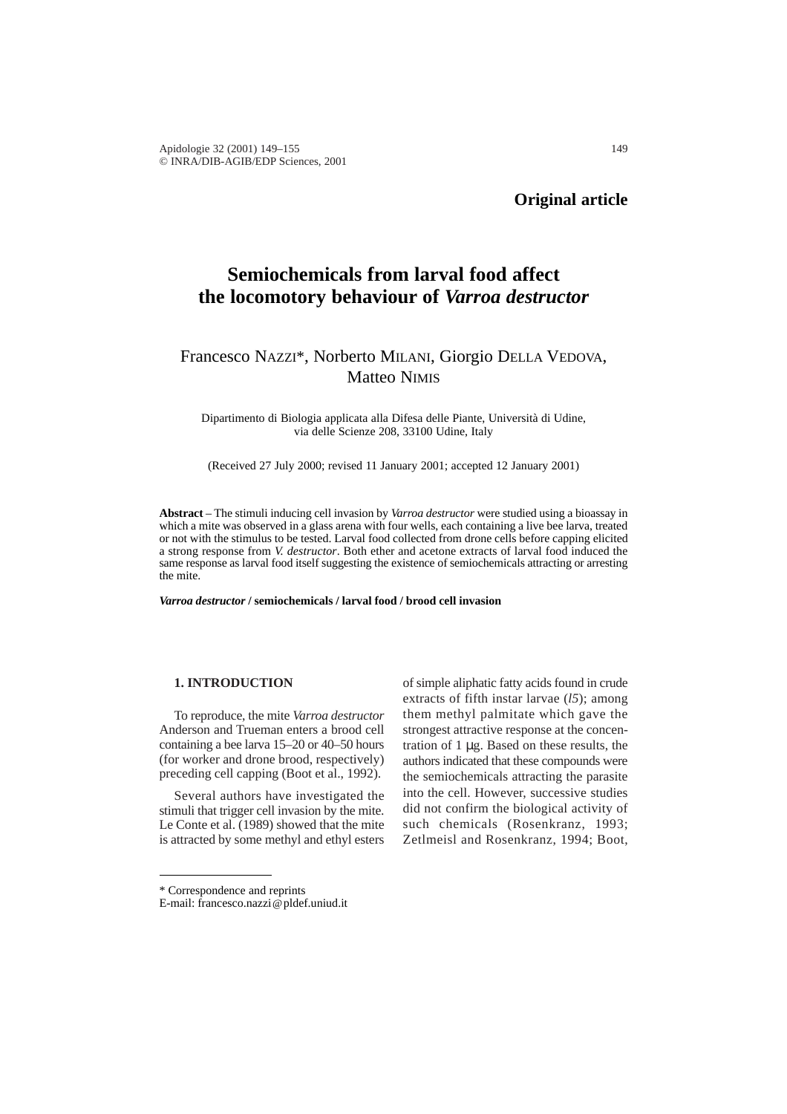# **Semiochemicals from larval food affect the locomotory behaviour of** *Varroa destructor*

# Francesco NAZZI\*, Norberto MILANI, Giorgio DELLA VEDOVA, Matteo NIMIS

Dipartimento di Biologia applicata alla Difesa delle Piante, Università di Udine, via delle Scienze 208, 33100 Udine, Italy

(Received 27 July 2000; revised 11 January 2001; accepted 12 January 2001)

**Abstract** – The stimuli inducing cell invasion by *Varroa destructor* were studied using a bioassay in which a mite was observed in a glass arena with four wells, each containing a live bee larva, treated or not with the stimulus to be tested. Larval food collected from drone cells before capping elicited a strong response from *V. destructor*. Both ether and acetone extracts of larval food induced the same response as larval food itself suggesting the existence of semiochemicals attracting or arresting the mite.

*Varroa destructor* **/ semiochemicals / larval food / brood cell invasion**

#### **1. INTRODUCTION**

To reproduce, the mite *Varroa destructor* Anderson and Trueman enters a brood cell containing a bee larva 15–20 or 40–50 hours (for worker and drone brood, respectively) preceding cell capping (Boot et al., 1992).

Several authors have investigated the stimuli that trigger cell invasion by the mite. Le Conte et al. (1989) showed that the mite is attracted by some methyl and ethyl esters of simple aliphatic fatty acids found in crude extracts of fifth instar larvae (*l5*); among them methyl palmitate which gave the strongest attractive response at the concentration of 1 µg. Based on these results, the authors indicated that these compounds were the semiochemicals attracting the parasite into the cell. However, successive studies did not confirm the biological activity of such chemicals (Rosenkranz, 1993; Zetlmeisl and Rosenkranz, 1994; Boot,

<sup>\*</sup> Correspondence and reprints

E-mail: francesco.nazzi@pldef.uniud.it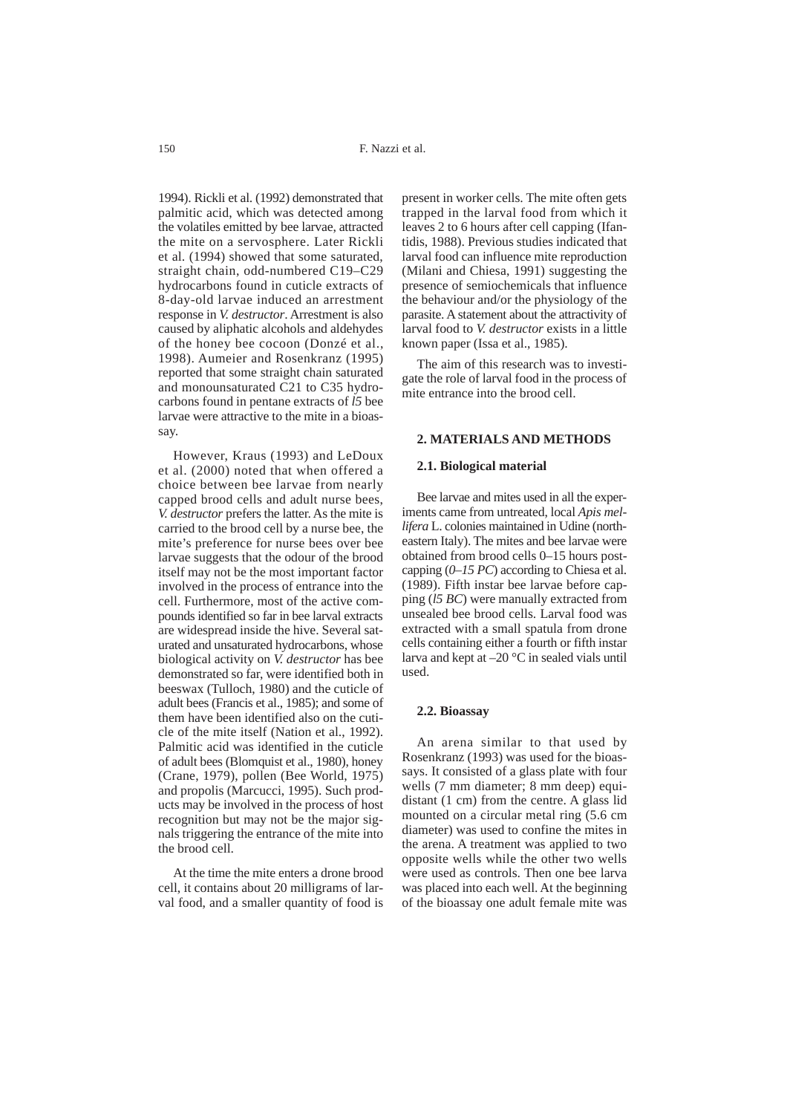1994). Rickli et al. (1992) demonstrated that palmitic acid, which was detected among the volatiles emitted by bee larvae, attracted the mite on a servosphere. Later Rickli et al. (1994) showed that some saturated, straight chain, odd-numbered C19–C29 hydrocarbons found in cuticle extracts of 8-day-old larvae induced an arrestment response in *V. destructor*. Arrestment is also caused by aliphatic alcohols and aldehydes of the honey bee cocoon (Donzé et al., 1998). Aumeier and Rosenkranz (1995) reported that some straight chain saturated and monounsaturated C21 to C35 hydrocarbons found in pentane extracts of *l5* bee larvae were attractive to the mite in a bioassay.

However, Kraus (1993) and LeDoux et al. (2000) noted that when offered a choice between bee larvae from nearly capped brood cells and adult nurse bees, *V. destructor* prefers the latter. As the mite is carried to the brood cell by a nurse bee, the mite's preference for nurse bees over bee larvae suggests that the odour of the brood itself may not be the most important factor involved in the process of entrance into the cell. Furthermore, most of the active compounds identified so far in bee larval extracts are widespread inside the hive. Several saturated and unsaturated hydrocarbons, whose biological activity on *V. destructor* has bee demonstrated so far, were identified both in beeswax (Tulloch, 1980) and the cuticle of adult bees (Francis et al., 1985); and some of them have been identified also on the cuticle of the mite itself (Nation et al., 1992). Palmitic acid was identified in the cuticle of adult bees (Blomquist et al., 1980), honey (Crane, 1979), pollen (Bee World, 1975) and propolis (Marcucci, 1995). Such products may be involved in the process of host recognition but may not be the major signals triggering the entrance of the mite into the brood cell.

At the time the mite enters a drone brood cell, it contains about 20 milligrams of larval food, and a smaller quantity of food is present in worker cells. The mite often gets trapped in the larval food from which it leaves 2 to 6 hours after cell capping (Ifantidis, 1988). Previous studies indicated that larval food can influence mite reproduction (Milani and Chiesa, 1991) suggesting the presence of semiochemicals that influence the behaviour and/or the physiology of the parasite. A statement about the attractivity of larval food to *V. destructor* exists in a little known paper (Issa et al., 1985).

The aim of this research was to investigate the role of larval food in the process of mite entrance into the brood cell.

#### **2. MATERIALS AND METHODS**

#### **2.1. Biological material**

Bee larvae and mites used in all the experiments came from untreated, local *Apis mellifera* L. colonies maintained in Udine (northeastern Italy). The mites and bee larvae were obtained from brood cells 0–15 hours postcapping (*0–15 PC*) according to Chiesa et al. (1989). Fifth instar bee larvae before capping (*l5 BC*) were manually extracted from unsealed bee brood cells. Larval food was extracted with a small spatula from drone cells containing either a fourth or fifth instar larva and kept at –20 °C in sealed vials until used.

#### **2.2. Bioassay**

An arena similar to that used by Rosenkranz (1993) was used for the bioassays. It consisted of a glass plate with four wells (7 mm diameter; 8 mm deep) equidistant (1 cm) from the centre. A glass lid mounted on a circular metal ring (5.6 cm diameter) was used to confine the mites in the arena. A treatment was applied to two opposite wells while the other two wells were used as controls. Then one bee larva was placed into each well. At the beginning of the bioassay one adult female mite was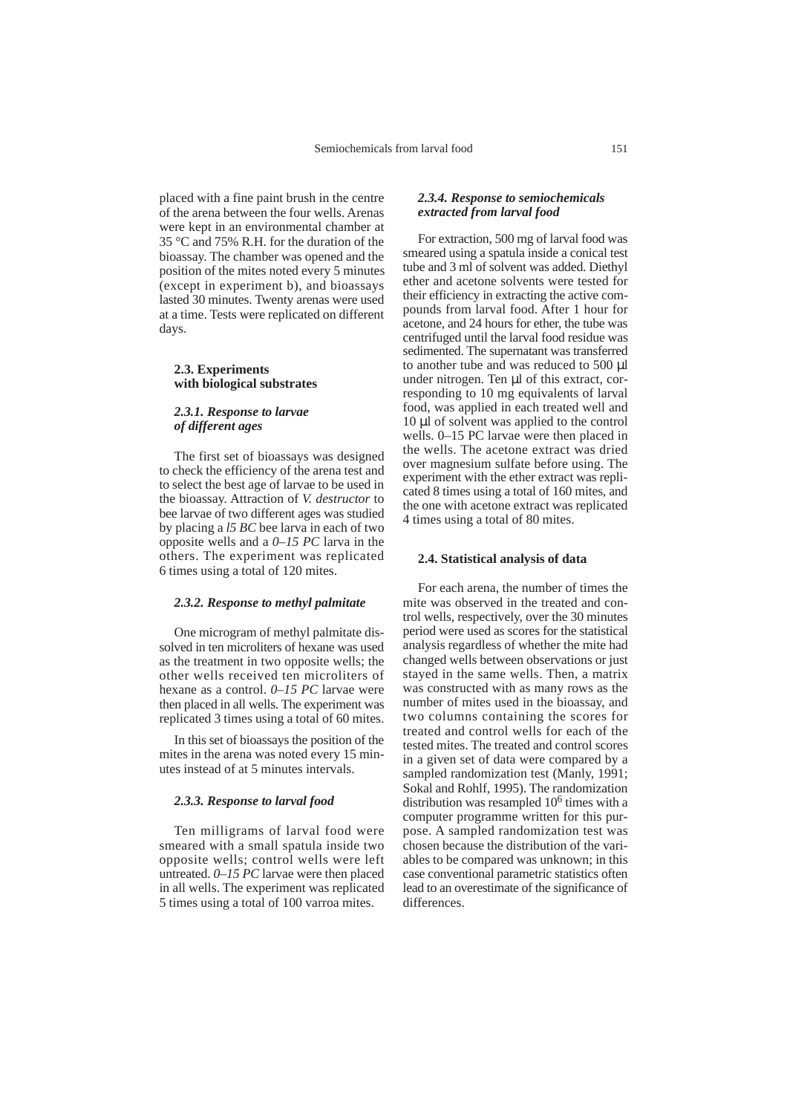placed with a fine paint brush in the centre of the arena between the four wells. Arenas were kept in an environmental chamber at 35 °C and 75% R.H. for the duration of the bioassay. The chamber was opened and the position of the mites noted every 5 minutes (except in experiment b), and bioassays lasted 30 minutes. Twenty arenas were used at a time. Tests were replicated on different days.

#### **2.3. Experiments with biological substrates**

# *2.3.1. Response to larvae of different ages*

The first set of bioassays was designed to check the efficiency of the arena test and to select the best age of larvae to be used in the bioassay. Attraction of *V. destructor* to bee larvae of two different ages was studied by placing a *l5 BC* bee larva in each of two opposite wells and a *0–15 PC* larva in the others. The experiment was replicated 6 times using a total of 120 mites.

## *2.3.2. Response to methyl palmitate*

One microgram of methyl palmitate dissolved in ten microliters of hexane was used as the treatment in two opposite wells; the other wells received ten microliters of hexane as a control. *0–15 PC* larvae were then placed in all wells. The experiment was replicated 3 times using a total of 60 mites.

In this set of bioassays the position of the mites in the arena was noted every 15 minutes instead of at 5 minutes intervals.

#### *2.3.3. Response to larval food*

Ten milligrams of larval food were smeared with a small spatula inside two opposite wells; control wells were left untreated. *0–15 PC* larvae were then placed in all wells. The experiment was replicated 5 times using a total of 100 varroa mites.

# *2.3.4. Response to semiochemicals extracted from larval food*

For extraction, 500 mg of larval food was smeared using a spatula inside a conical test tube and 3 ml of solvent was added. Diethyl ether and acetone solvents were tested for their efficiency in extracting the active compounds from larval food. After 1 hour for acetone, and 24 hours for ether, the tube was centrifuged until the larval food residue was sedimented. The supernatant was transferred to another tube and was reduced to 500 µl under nitrogen. Ten µl of this extract, corresponding to 10 mg equivalents of larval food, was applied in each treated well and 10 µl of solvent was applied to the control wells. 0–15 PC larvae were then placed in the wells. The acetone extract was dried over magnesium sulfate before using. The experiment with the ether extract was replicated 8 times using a total of 160 mites, and the one with acetone extract was replicated 4 times using a total of 80 mites.

#### **2.4. Statistical analysis of data**

For each arena, the number of times the mite was observed in the treated and control wells, respectively, over the 30 minutes period were used as scores for the statistical analysis regardless of whether the mite had changed wells between observations or just stayed in the same wells. Then, a matrix was constructed with as many rows as the number of mites used in the bioassay, and two columns containing the scores for treated and control wells for each of the tested mites. The treated and control scores in a given set of data were compared by a sampled randomization test (Manly, 1991; Sokal and Rohlf, 1995). The randomization distribution was resampled  $10<sup>6</sup>$  times with a computer programme written for this purpose. A sampled randomization test was chosen because the distribution of the variables to be compared was unknown; in this case conventional parametric statistics often lead to an overestimate of the significance of differences.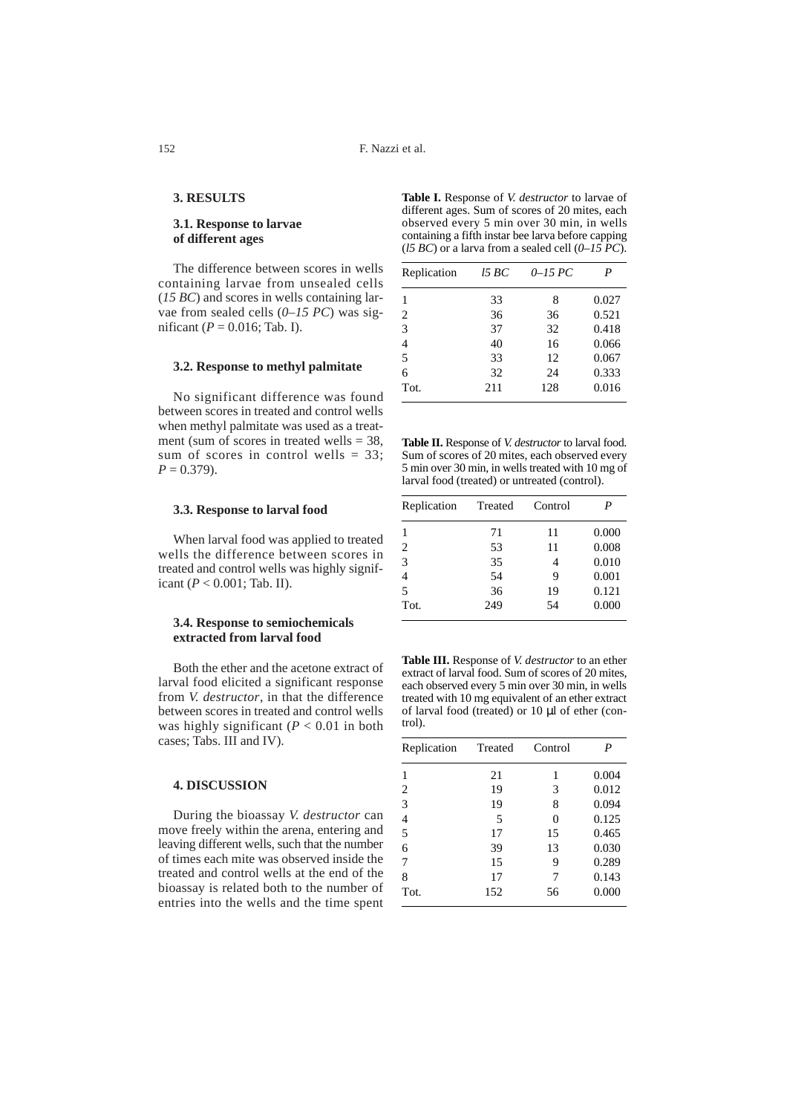## **3. RESULTS**

# **3.1. Response to larvae of different ages**

The difference between scores in wells containing larvae from unsealed cells (*15 BC*) and scores in wells containing larvae from sealed cells (*0–15 PC*) was significant ( $P = 0.016$ ; Tab. I).

#### **3.2. Response to methyl palmitate**

No significant difference was found between scores in treated and control wells when methyl palmitate was used as a treatment (sum of scores in treated wells  $=$  38, sum of scores in control wells  $= 33$ ;  $P = 0.379$ .

#### **3.3. Response to larval food**

When larval food was applied to treated wells the difference between scores in treated and control wells was highly significant (*P* < 0.001; Tab. II).

#### **3.4. Response to semiochemicals extracted from larval food**

Both the ether and the acetone extract of larval food elicited a significant response from *V. destructor*, in that the difference between scores in treated and control wells was highly significant  $(P < 0.01$  in both cases; Tabs. III and IV).

# **4. DISCUSSION**

During the bioassay *V. destructor* can move freely within the arena, entering and leaving different wells, such that the number of times each mite was observed inside the treated and control wells at the end of the bioassay is related both to the number of entries into the wells and the time spent

**Table I.** Response of *V. destructor* to larvae of different ages. Sum of scores of 20 mites, each observed every 5 min over 30 min, in wells containing a fifth instar bee larva before capping (*l5 BC*) or a larva from a sealed cell (*0–15 PC*).

| Replication | 15 BC | $0-15$ PC | P     |
|-------------|-------|-----------|-------|
|             | 33    | 8         | 0.027 |
| 2           | 36    | 36        | 0.521 |
| 3           | 37    | 32        | 0.418 |
| 4           | 40    | 16        | 0.066 |
| 5           | 33    | 12        | 0.067 |
| 6           | 32    | 24        | 0.333 |
| Tot.        | 211   | 128       | 0.016 |

**Table II.** Response of *V. destructor* to larval food. Sum of scores of 20 mites, each observed every 5 min over 30 min, in wells treated with 10 mg of larval food (treated) or untreated (control).

| Replication    | Treated | Control |       |
|----------------|---------|---------|-------|
|                | 71      | 11      | 0.000 |
| $\overline{2}$ | 53      | 11      | 0.008 |
| 3              | 35      |         | 0.010 |
| $\overline{4}$ | 54      | 9       | 0.001 |
| 5              | 36      | 19      | 0.121 |
| Tot.           | 249     | 54      | 0.000 |

**Table III.** Response of *V. destructor* to an ether extract of larval food. Sum of scores of 20 mites, each observed every 5 min over 30 min, in wells treated with 10 mg equivalent of an ether extract of larval food (treated) or 10 µl of ether (control).

| Replication    | Treated | Control | P     |
|----------------|---------|---------|-------|
| 1              | 21      | 1       | 0.004 |
| $\overline{2}$ | 19      | 3       | 0.012 |
| 3              | 19      | 8       | 0.094 |
| $\overline{4}$ | 5       | 0       | 0.125 |
| 5              | 17      | 15      | 0.465 |
| 6              | 39      | 13      | 0.030 |
| 7              | 15      | 9       | 0.289 |
| 8              | 17      |         | 0.143 |
| Tot.           | 152     | 56      | 0.000 |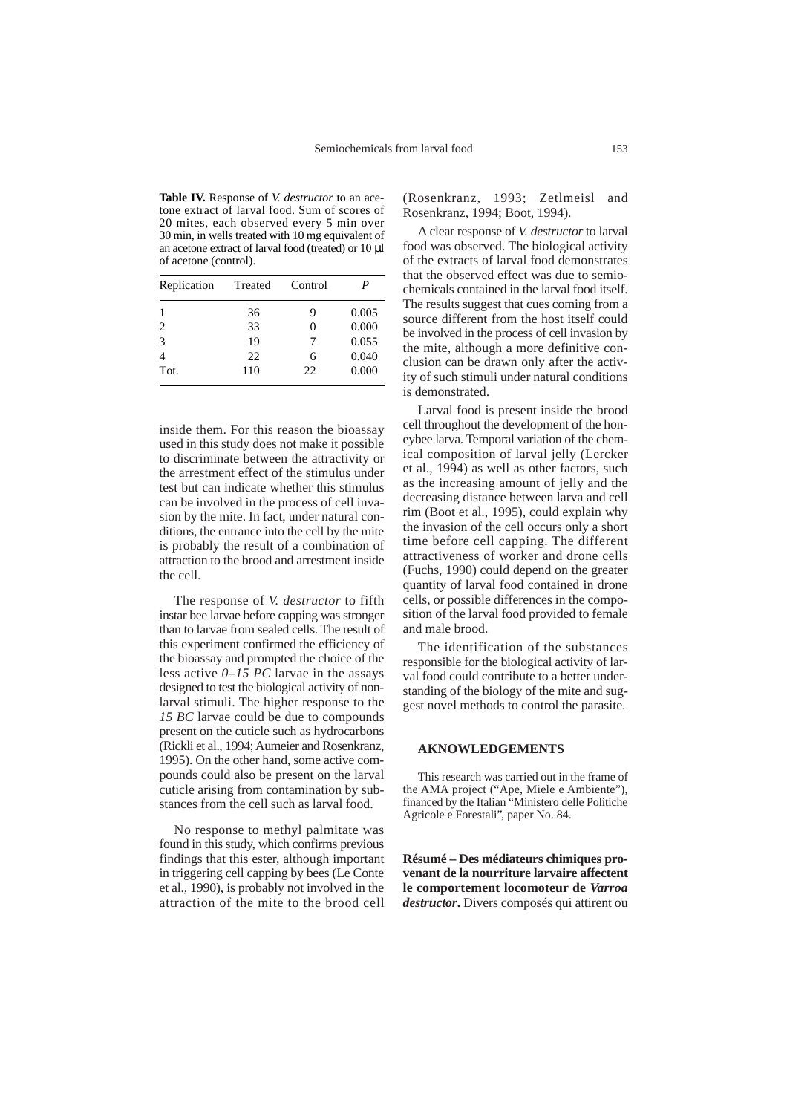**Table IV.** Response of *V. destructor* to an acetone extract of larval food. Sum of scores of 20 mites, each observed every 5 min over 30 min, in wells treated with 10 mg equivalent of an acetone extract of larval food (treated) or 10 µl of acetone (control).

| Replication | Treated | Control | P     |
|-------------|---------|---------|-------|
|             | 36      | 9       | 0.005 |
| 2           | 33      |         | 0.000 |
| 3           | 19      | 7       | 0.055 |
|             | 22      | 6       | 0.040 |
| Tot.        | 110     | 22.     | 0.000 |

inside them. For this reason the bioassay used in this study does not make it possible to discriminate between the attractivity or the arrestment effect of the stimulus under test but can indicate whether this stimulus can be involved in the process of cell invasion by the mite. In fact, under natural conditions, the entrance into the cell by the mite is probably the result of a combination of attraction to the brood and arrestment inside the cell.

The response of *V. destructor* to fifth instar bee larvae before capping was stronger than to larvae from sealed cells. The result of this experiment confirmed the efficiency of the bioassay and prompted the choice of the less active *0–15 PC* larvae in the assays designed to test the biological activity of nonlarval stimuli. The higher response to the *15 BC* larvae could be due to compounds present on the cuticle such as hydrocarbons (Rickli et al., 1994; Aumeier and Rosenkranz, 1995). On the other hand, some active compounds could also be present on the larval cuticle arising from contamination by substances from the cell such as larval food.

No response to methyl palmitate was found in this study, which confirms previous findings that this ester, although important in triggering cell capping by bees (Le Conte et al., 1990), is probably not involved in the attraction of the mite to the brood cell

(Rosenkranz, 1993; Zetlmeisl and Rosenkranz, 1994; Boot, 1994).

A clear response of *V. destructor* to larval food was observed. The biological activity of the extracts of larval food demonstrates that the observed effect was due to semiochemicals contained in the larval food itself. The results suggest that cues coming from a source different from the host itself could be involved in the process of cell invasion by the mite, although a more definitive conclusion can be drawn only after the activity of such stimuli under natural conditions is demonstrated.

Larval food is present inside the brood cell throughout the development of the honeybee larva. Temporal variation of the chemical composition of larval jelly (Lercker et al., 1994) as well as other factors, such as the increasing amount of jelly and the decreasing distance between larva and cell rim (Boot et al., 1995), could explain why the invasion of the cell occurs only a short time before cell capping. The different attractiveness of worker and drone cells (Fuchs, 1990) could depend on the greater quantity of larval food contained in drone cells, or possible differences in the composition of the larval food provided to female and male brood.

The identification of the substances responsible for the biological activity of larval food could contribute to a better understanding of the biology of the mite and suggest novel methods to control the parasite.

#### **AKNOWLEDGEMENTS**

This research was carried out in the frame of the AMA project ("Ape, Miele e Ambiente"), financed by the Italian "Ministero delle Politiche Agricole e Forestali", paper No. 84.

**Résumé – Des médiateurs chimiques provenant de la nourriture larvaire affectent le comportement locomoteur de** *Varroa destructor***.** Divers composés qui attirent ou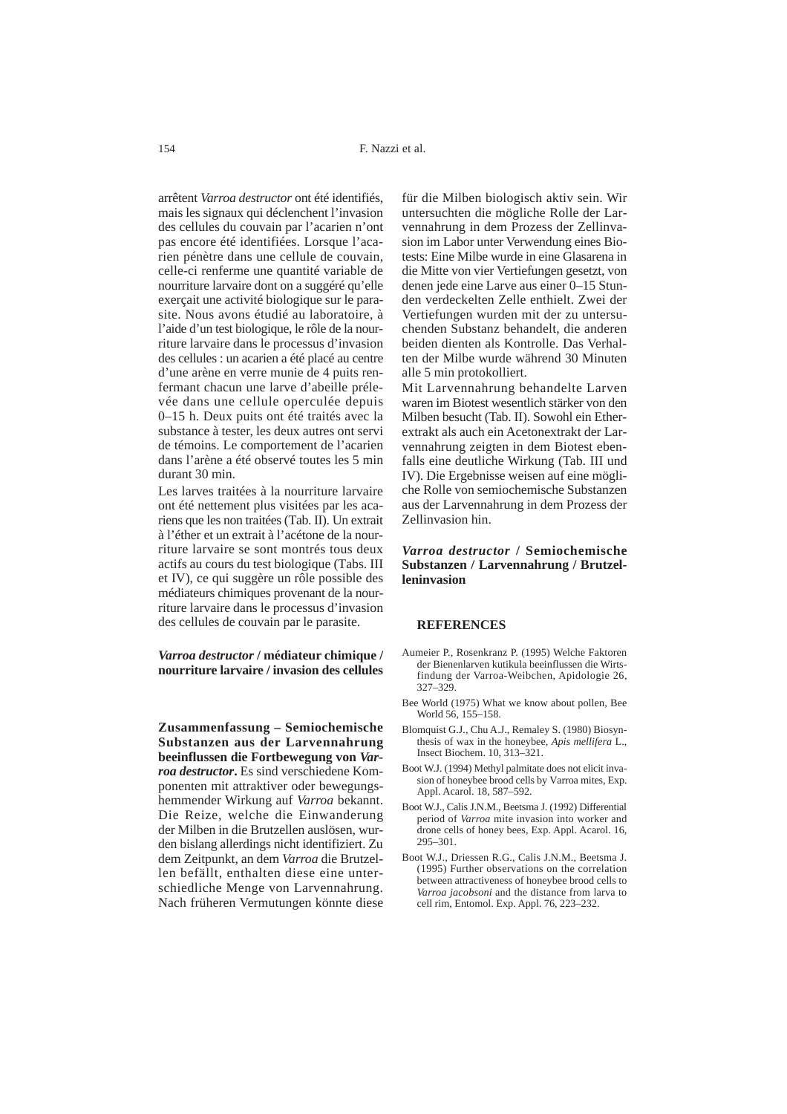arrêtent *Varroa destructor* ont été identifiés, mais les signaux qui déclenchent l'invasion des cellules du couvain par l'acarien n'ont pas encore été identifiées. Lorsque l'acarien pénètre dans une cellule de couvain, celle-ci renferme une quantité variable de nourriture larvaire dont on a suggéré qu'elle exerçait une activité biologique sur le parasite. Nous avons étudié au laboratoire, à l'aide d'un test biologique, le rôle de la nourriture larvaire dans le processus d'invasion des cellules : un acarien a été placé au centre d'une arène en verre munie de 4 puits renfermant chacun une larve d'abeille prélevée dans une cellule operculée depuis 0–15 h. Deux puits ont été traités avec la substance à tester, les deux autres ont servi de témoins. Le comportement de l'acarien dans l'arène a été observé toutes les 5 min durant 30 min.

Les larves traitées à la nourriture larvaire ont été nettement plus visitées par les acariens que les non traitées (Tab. II). Un extrait à l'éther et un extrait à l'acétone de la nourriture larvaire se sont montrés tous deux actifs au cours du test biologique (Tabs. III et IV), ce qui suggère un rôle possible des médiateurs chimiques provenant de la nourriture larvaire dans le processus d'invasion des cellules de couvain par le parasite.

# *Varroa destructor* **/ médiateur chimique / nourriture larvaire / invasion des cellules**

**Zusammenfassung – Semiochemische Substanzen aus der Larvennahrung beeinflussen die Fortbewegung von** *Varroa destructor***.** Es sind verschiedene Komponenten mit attraktiver oder bewegungshemmender Wirkung auf *Varroa* bekannt. Die Reize, welche die Einwanderung der Milben in die Brutzellen auslösen, wurden bislang allerdings nicht identifiziert. Zu dem Zeitpunkt, an dem *Varroa* die Brutzellen befällt, enthalten diese eine unterschiedliche Menge von Larvennahrung. Nach früheren Vermutungen könnte diese

für die Milben biologisch aktiv sein. Wir untersuchten die mögliche Rolle der Larvennahrung in dem Prozess der Zellinvasion im Labor unter Verwendung eines Biotests: Eine Milbe wurde in eine Glasarena in die Mitte von vier Vertiefungen gesetzt, von denen jede eine Larve aus einer 0–15 Stunden verdeckelten Zelle enthielt. Zwei der Vertiefungen wurden mit der zu untersuchenden Substanz behandelt, die anderen beiden dienten als Kontrolle. Das Verhalten der Milbe wurde während 30 Minuten alle 5 min protokolliert.

Mit Larvennahrung behandelte Larven waren im Biotest wesentlich stärker von den Milben besucht (Tab. II). Sowohl ein Etherextrakt als auch ein Acetonextrakt der Larvennahrung zeigten in dem Biotest ebenfalls eine deutliche Wirkung (Tab. III und IV). Die Ergebnisse weisen auf eine mögliche Rolle von semiochemische Substanzen aus der Larvennahrung in dem Prozess der Zellinvasion hin.

## *Varroa destructor* **/ Semiochemische Substanzen / Larvennahrung / Brutzelleninvasion**

#### **REFERENCES**

- Aumeier P., Rosenkranz P. (1995) Welche Faktoren der Bienenlarven kutikula beeinflussen die Wirtsfindung der Varroa-Weibchen, Apidologie 26, 327–329.
- Bee World (1975) What we know about pollen, Bee World 56, 155–158.
- Blomquist G.J., Chu A.J., Remaley S. (1980) Biosynthesis of wax in the honeybee, *Apis mellifera* L., Insect Biochem. 10, 313–321.
- Boot W.J. (1994) Methyl palmitate does not elicit invasion of honeybee brood cells by Varroa mites, Exp. Appl. Acarol. 18, 587–592.
- Boot W.J., Calis J.N.M., Beetsma J. (1992) Differential period of *Varroa* mite invasion into worker and drone cells of honey bees, Exp. Appl. Acarol. 16, 295–301.
- Boot W.J., Driessen R.G., Calis J.N.M., Beetsma J. (1995) Further observations on the correlation between attractiveness of honeybee brood cells to *Varroa jacobsoni* and the distance from larva to cell rim, Entomol. Exp. Appl. 76, 223–232.